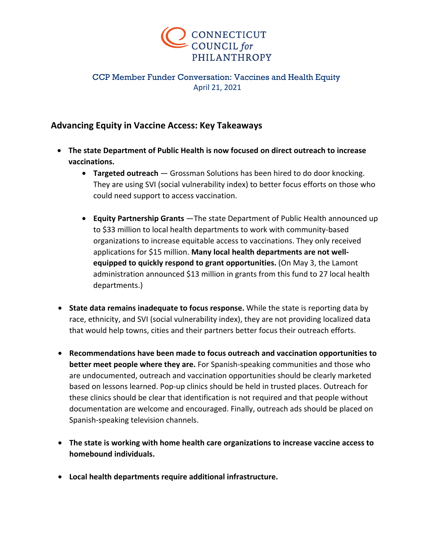

## CCP Member Funder Conversation: Vaccines and Health Equity April 21, 2021

## **Advancing Equity in Vaccine Access: Key Takeaways**

- **The state Department of Public Health is now focused on direct outreach to increase vaccinations.**
	- **Targeted outreach** Grossman Solutions has been hired to do door knocking. They are using SVI (social vulnerability index) to better focus efforts on those who could need support to access vaccination.
	- **Equity Partnership Grants** —The state Department of Public Health announced up to \$33 million to local health departments to work with community-based organizations to increase equitable access to vaccinations. They only received applications for \$15 million. **Many local health departments are not wellequipped to quickly respond to grant opportunities.** (On May 3, the Lamont administration announced \$13 million in grants from this fund to 27 local health departments.)
- **State data remains inadequate to focus response.** While the state is reporting data by race, ethnicity, and SVI (social vulnerability index), they are not providing localized data that would help towns, cities and their partners better focus their outreach efforts.
- **Recommendations have been made to focus outreach and vaccination opportunities to better meet people where they are.** For Spanish-speaking communities and those who are undocumented, outreach and vaccination opportunities should be clearly marketed based on lessons learned. Pop-up clinics should be held in trusted places. Outreach for these clinics should be clear that identification is not required and that people without documentation are welcome and encouraged. Finally, outreach ads should be placed on Spanish-speaking television channels.
- **The state is working with home health care organizations to increase vaccine access to homebound individuals.**
- **Local health departments require additional infrastructure.**